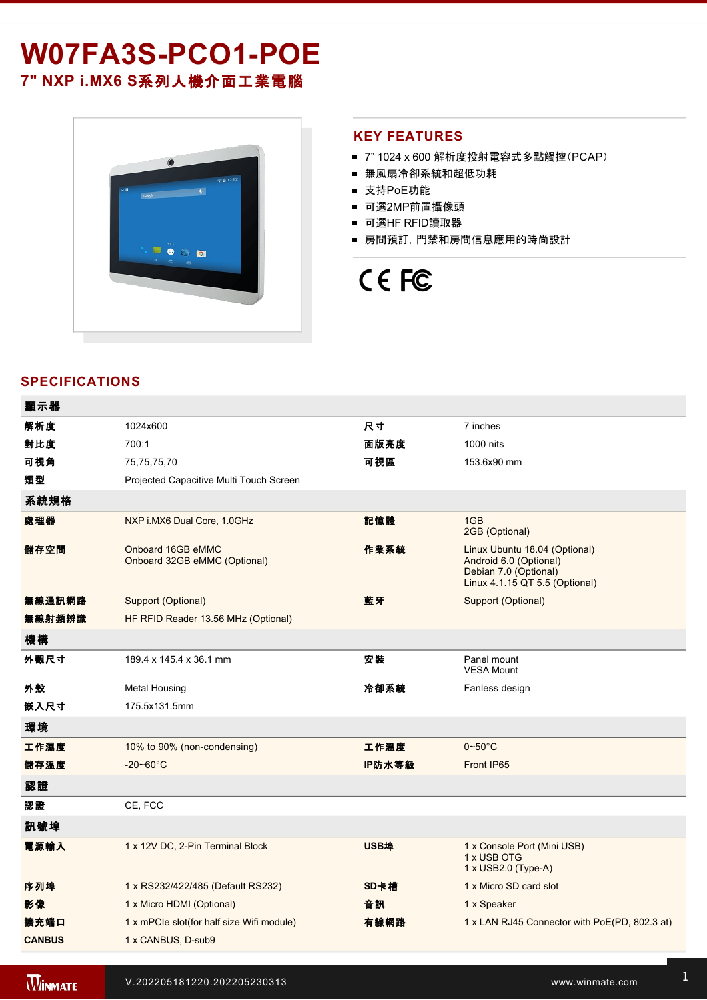# W07FA3S-PCO1-POE

**7" NXP i.MX6 S**系列人機介面工業電腦



#### **KEY FEATURES**

- 7" 1024 x 600 解析度投射電容式多點觸控(PCAP)
- 無風扇冷卻系統和超低功耗
- 支持PoE功能
- 可選2MP前置攝像頭
- 可選HF RFID讀取器
- 房間預訂,門禁和房間信息應用的時尚設計

## CE FC

#### **SPECIFICATIONS**

| 顯示器           |                                                   |        |                                                                                                                    |  |  |
|---------------|---------------------------------------------------|--------|--------------------------------------------------------------------------------------------------------------------|--|--|
| 解析度           | 1024x600                                          | 尺寸     | 7 inches                                                                                                           |  |  |
| 對比度           | 700:1                                             | 面版亮度   | 1000 nits                                                                                                          |  |  |
| 可視角           | 75,75,75,70                                       | 可視區    | 153.6x90 mm                                                                                                        |  |  |
| 類型            | Projected Capacitive Multi Touch Screen           |        |                                                                                                                    |  |  |
| 系統規格          |                                                   |        |                                                                                                                    |  |  |
| 處理器           | NXP i.MX6 Dual Core, 1.0GHz                       | 記憶體    | 1GB<br>2GB (Optional)                                                                                              |  |  |
| 儲存空間          | Onboard 16GB eMMC<br>Onboard 32GB eMMC (Optional) | 作業系統   | Linux Ubuntu 18.04 (Optional)<br>Android 6.0 (Optional)<br>Debian 7.0 (Optional)<br>Linux 4.1.15 QT 5.5 (Optional) |  |  |
| 無線通訊網路        | <b>Support (Optional)</b>                         | 藍牙     | Support (Optional)                                                                                                 |  |  |
| 無線射頻辨識        | HF RFID Reader 13.56 MHz (Optional)               |        |                                                                                                                    |  |  |
| 機構            |                                                   |        |                                                                                                                    |  |  |
| 外觀尺寸          | 189.4 x 145.4 x 36.1 mm                           | 安装     | Panel mount<br><b>VESA Mount</b>                                                                                   |  |  |
| 外殼            | <b>Metal Housing</b>                              | 冷卻系統   | Fanless design                                                                                                     |  |  |
| 嵌入尺寸          | 175.5x131.5mm                                     |        |                                                                                                                    |  |  |
| 環境            |                                                   |        |                                                                                                                    |  |  |
| 工作濕度          | 10% to 90% (non-condensing)                       | 工作溫度   | $0 - 50^{\circ}$ C                                                                                                 |  |  |
| 儲存溫度          | $-20 - 60^{\circ}$ C                              | IP防水等級 | Front IP65                                                                                                         |  |  |
| 認證            |                                                   |        |                                                                                                                    |  |  |
| 認證            | CE, FCC                                           |        |                                                                                                                    |  |  |
| 訊號埠           |                                                   |        |                                                                                                                    |  |  |
| 電源輸入          | 1 x 12V DC, 2-Pin Terminal Block                  | USB埠   | 1 x Console Port (Mini USB)<br>1 x USB OTG<br>1 x USB2.0 (Type-A)                                                  |  |  |
| 序列埠           | 1 x RS232/422/485 (Default RS232)                 | SD卡槽   | 1 x Micro SD card slot                                                                                             |  |  |
| 影像            | 1 x Micro HDMI (Optional)                         | 音訊     | 1 x Speaker                                                                                                        |  |  |
| 擴充端口          | 1 x mPCIe slot(for half size Wifi module)         | 有線網路   | 1 x LAN RJ45 Connector with PoE(PD, 802.3 at)                                                                      |  |  |
| <b>CANBUS</b> | 1 x CANBUS, D-sub9                                |        |                                                                                                                    |  |  |
|               |                                                   |        |                                                                                                                    |  |  |

配件